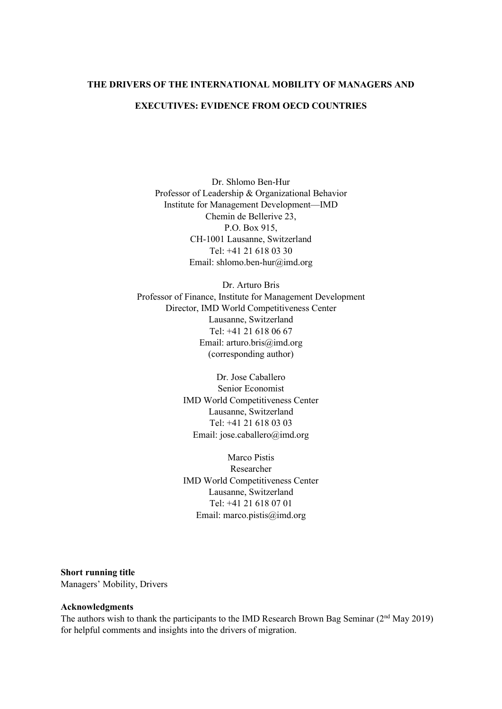#### **THE DRIVERS OF THE INTERNATIONAL MOBILITY OF MANAGERS AND**

# **EXECUTIVES: EVIDENCE FROM OECD COUNTRIES**

Dr. Shlomo Ben-Hur Professor of Leadership & Organizational Behavior Institute for Management Development—IMD Chemin de Bellerive 23, P.O. Box 915, CH-1001 Lausanne, Switzerland Tel: +41 21 618 03 30 Email: shlomo.ben-hur@imd.org

Dr. Arturo Bris Professor of Finance, Institute for Management Development Director, IMD World Competitiveness Center Lausanne, Switzerland Tel: +41 21 618 06 67 Email: arturo.bris@imd.org (corresponding author)

> Dr. Jose Caballero Senior Economist IMD World Competitiveness Center Lausanne, Switzerland Tel: +41 21 618 03 03 Email: jose.caballero@imd.org

> Marco Pistis Researcher IMD World Competitiveness Center Lausanne, Switzerland Tel: +41 21 618 07 01 Email: marco.pistis@imd.org

## **Short running title**

Managers' Mobility, Drivers

## **Acknowledgments**

The authors wish to thank the participants to the IMD Research Brown Bag Seminar (2<sup>nd</sup> May 2019) for helpful comments and insights into the drivers of migration.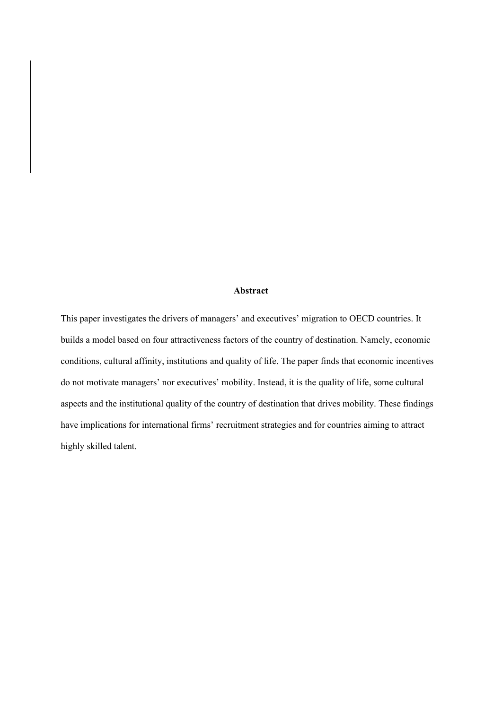## **Abstract**

This paper investigates the drivers of managers' and executives' migration to OECD countries. It builds a model based on four attractiveness factors of the country of destination. Namely, economic conditions, cultural affinity, institutions and quality of life. The paper finds that economic incentives do not motivate managers' nor executives' mobility. Instead, it is the quality of life, some cultural aspects and the institutional quality of the country of destination that drives mobility. These findings have implications for international firms' recruitment strategies and for countries aiming to attract highly skilled talent.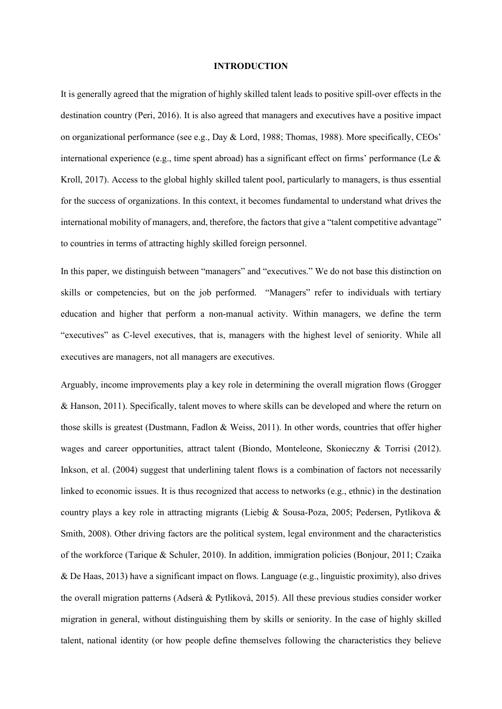#### **INTRODUCTION**

It is generally agreed that the migration of highly skilled talent leads to positive spill-over effects in the destination country (Peri, 2016). It is also agreed that managers and executives have a positive impact on organizational performance (see e.g., Day & Lord, 1988; Thomas, 1988). More specifically, CEOs' international experience (e.g., time spent abroad) has a significant effect on firms' performance (Le  $\&$ Kroll, 2017). Access to the global highly skilled talent pool, particularly to managers, is thus essential for the success of organizations. In this context, it becomes fundamental to understand what drives the international mobility of managers, and, therefore, the factors that give a "talent competitive advantage" to countries in terms of attracting highly skilled foreign personnel.

In this paper, we distinguish between "managers" and "executives." We do not base this distinction on skills or competencies, but on the job performed. "Managers" refer to individuals with tertiary education and higher that perform a non-manual activity. Within managers, we define the term "executives" as C-level executives, that is, managers with the highest level of seniority. While all executives are managers, not all managers are executives.

Arguably, income improvements play a key role in determining the overall migration flows (Grogger & Hanson, 2011). Specifically, talent moves to where skills can be developed and where the return on those skills is greatest (Dustmann, Fadlon & Weiss, 2011). In other words, countries that offer higher wages and career opportunities, attract talent (Biondo, Monteleone, Skonieczny & Torrisi (2012). Inkson, et al. (2004) suggest that underlining talent flows is a combination of factors not necessarily linked to economic issues. It is thus recognized that access to networks (e.g., ethnic) in the destination country plays a key role in attracting migrants (Liebig & Sousa-Poza, 2005; Pedersen, Pytlikova & Smith, 2008). Other driving factors are the political system, legal environment and the characteristics of the workforce (Tarique & Schuler, 2010). In addition, immigration policies (Bonjour, 2011; Czaika & De Haas, 2013) have a significant impact on flows. Language (e.g., linguistic proximity), also drives the overall migration patterns (Adserà & Pytliková, 2015). All these previous studies consider worker migration in general, without distinguishing them by skills or seniority. In the case of highly skilled talent, national identity (or how people define themselves following the characteristics they believe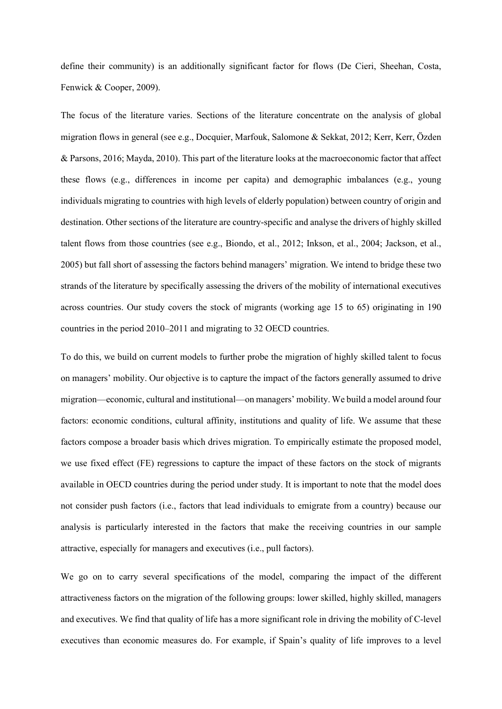define their community) is an additionally significant factor for flows (De Cieri, Sheehan, Costa, Fenwick & Cooper, 2009).

The focus of the literature varies. Sections of the literature concentrate on the analysis of global migration flows in general (see e.g., Docquier, Marfouk, Salomone & Sekkat, 2012; Kerr, Kerr, Özden & Parsons, 2016; Mayda, 2010). This part of the literature looks at the macroeconomic factor that affect these flows (e.g., differences in income per capita) and demographic imbalances (e.g., young individuals migrating to countries with high levels of elderly population) between country of origin and destination. Other sections of the literature are country-specific and analyse the drivers of highly skilled talent flows from those countries (see e.g., Biondo, et al., 2012; Inkson, et al., 2004; Jackson, et al., 2005) but fall short of assessing the factors behind managers' migration. We intend to bridge these two strands of the literature by specifically assessing the drivers of the mobility of international executives across countries. Our study covers the stock of migrants (working age 15 to 65) originating in 190 countries in the period 2010–2011 and migrating to 32 OECD countries.

To do this, we build on current models to further probe the migration of highly skilled talent to focus on managers' mobility. Our objective is to capture the impact of the factors generally assumed to drive migration—economic, cultural and institutional—on managers' mobility. We build a model around four factors: economic conditions, cultural affinity, institutions and quality of life. We assume that these factors compose a broader basis which drives migration. To empirically estimate the proposed model, we use fixed effect (FE) regressions to capture the impact of these factors on the stock of migrants available in OECD countries during the period under study. It is important to note that the model does not consider push factors (i.e., factors that lead individuals to emigrate from a country) because our analysis is particularly interested in the factors that make the receiving countries in our sample attractive, especially for managers and executives (i.e., pull factors).

We go on to carry several specifications of the model, comparing the impact of the different attractiveness factors on the migration of the following groups: lower skilled, highly skilled, managers and executives. We find that quality of life has a more significant role in driving the mobility of C-level executives than economic measures do. For example, if Spain's quality of life improves to a level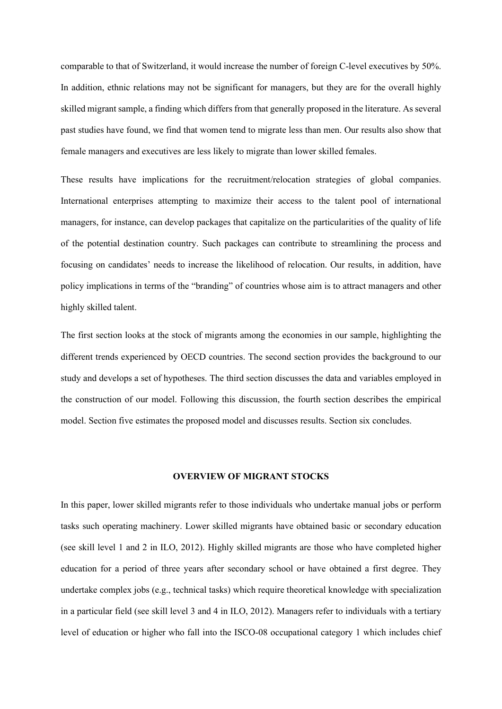comparable to that of Switzerland, it would increase the number of foreign C-level executives by 50%. In addition, ethnic relations may not be significant for managers, but they are for the overall highly skilled migrant sample, a finding which differs from that generally proposed in the literature. As several past studies have found, we find that women tend to migrate less than men. Our results also show that female managers and executives are less likely to migrate than lower skilled females.

These results have implications for the recruitment/relocation strategies of global companies. International enterprises attempting to maximize their access to the talent pool of international managers, for instance, can develop packages that capitalize on the particularities of the quality of life of the potential destination country. Such packages can contribute to streamlining the process and focusing on candidates' needs to increase the likelihood of relocation. Our results, in addition, have policy implications in terms of the "branding" of countries whose aim is to attract managers and other highly skilled talent.

The first section looks at the stock of migrants among the economies in our sample, highlighting the different trends experienced by OECD countries. The second section provides the background to our study and develops a set of hypotheses. The third section discusses the data and variables employed in the construction of our model. Following this discussion, the fourth section describes the empirical model. Section five estimates the proposed model and discusses results. Section six concludes.

## **OVERVIEW OF MIGRANT STOCKS**

In this paper, lower skilled migrants refer to those individuals who undertake manual jobs or perform tasks such operating machinery. Lower skilled migrants have obtained basic or secondary education (see skill level 1 and 2 in ILO, 2012). Highly skilled migrants are those who have completed higher education for a period of three years after secondary school or have obtained a first degree. They undertake complex jobs (e.g., technical tasks) which require theoretical knowledge with specialization in a particular field (see skill level 3 and 4 in ILO, 2012). Managers refer to individuals with a tertiary level of education or higher who fall into the ISCO-08 occupational category 1 which includes chief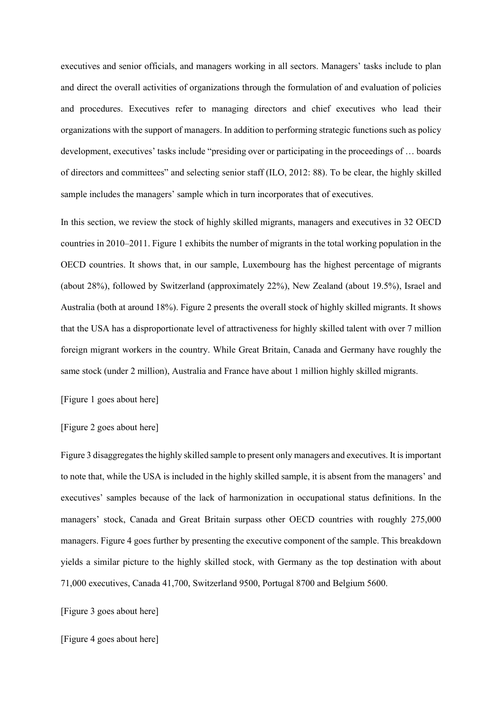executives and senior officials, and managers working in all sectors. Managers' tasks include to plan and direct the overall activities of organizations through the formulation of and evaluation of policies and procedures. Executives refer to managing directors and chief executives who lead their organizations with the support of managers. In addition to performing strategic functions such as policy development, executives' tasks include "presiding over or participating in the proceedings of … boards of directors and committees" and selecting senior staff (ILO, 2012: 88). To be clear, the highly skilled sample includes the managers' sample which in turn incorporates that of executives.

In this section, we review the stock of highly skilled migrants, managers and executives in 32 OECD countries in 2010–2011. Figure 1 exhibits the number of migrants in the total working population in the OECD countries. It shows that, in our sample, Luxembourg has the highest percentage of migrants (about 28%), followed by Switzerland (approximately 22%), New Zealand (about 19.5%), Israel and Australia (both at around 18%). Figure 2 presents the overall stock of highly skilled migrants. It shows that the USA has a disproportionate level of attractiveness for highly skilled talent with over 7 million foreign migrant workers in the country. While Great Britain, Canada and Germany have roughly the same stock (under 2 million), Australia and France have about 1 million highly skilled migrants.

[Figure 1 goes about here]

# [Figure 2 goes about here]

Figure 3 disaggregatesthe highly skilled sample to present only managers and executives. It is important to note that, while the USA is included in the highly skilled sample, it is absent from the managers' and executives' samples because of the lack of harmonization in occupational status definitions. In the managers' stock, Canada and Great Britain surpass other OECD countries with roughly 275,000 managers. Figure 4 goes further by presenting the executive component of the sample. This breakdown yields a similar picture to the highly skilled stock, with Germany as the top destination with about 71,000 executives, Canada 41,700, Switzerland 9500, Portugal 8700 and Belgium 5600.

[Figure 3 goes about here]

[Figure 4 goes about here]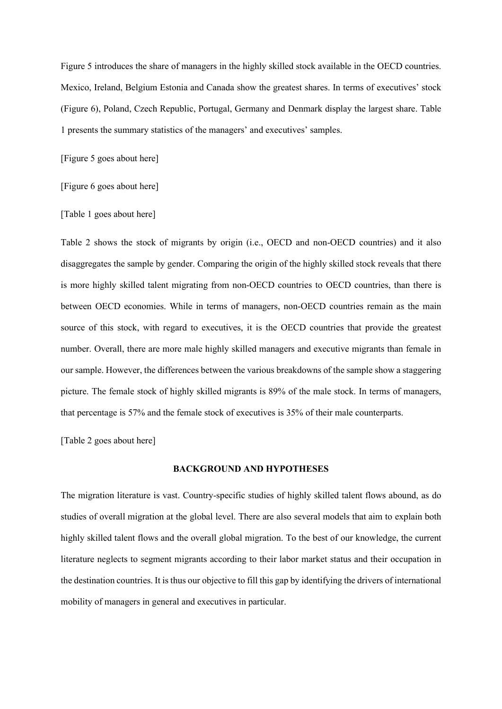Figure 5 introduces the share of managers in the highly skilled stock available in the OECD countries. Mexico, Ireland, Belgium Estonia and Canada show the greatest shares. In terms of executives' stock (Figure 6), Poland, Czech Republic, Portugal, Germany and Denmark display the largest share. Table 1 presents the summary statistics of the managers' and executives' samples.

[Figure 5 goes about here]

[Figure 6 goes about here]

[Table 1 goes about here]

Table 2 shows the stock of migrants by origin (i.e., OECD and non-OECD countries) and it also disaggregates the sample by gender. Comparing the origin of the highly skilled stock reveals that there is more highly skilled talent migrating from non-OECD countries to OECD countries, than there is between OECD economies. While in terms of managers, non-OECD countries remain as the main source of this stock, with regard to executives, it is the OECD countries that provide the greatest number. Overall, there are more male highly skilled managers and executive migrants than female in our sample. However, the differences between the various breakdowns of the sample show a staggering picture. The female stock of highly skilled migrants is 89% of the male stock. In terms of managers, that percentage is 57% and the female stock of executives is 35% of their male counterparts.

[Table 2 goes about here]

## **BACKGROUND AND HYPOTHESES**

The migration literature is vast. Country-specific studies of highly skilled talent flows abound, as do studies of overall migration at the global level. There are also several models that aim to explain both highly skilled talent flows and the overall global migration. To the best of our knowledge, the current literature neglects to segment migrants according to their labor market status and their occupation in the destination countries. It is thus our objective to fill this gap by identifying the drivers of international mobility of managers in general and executives in particular.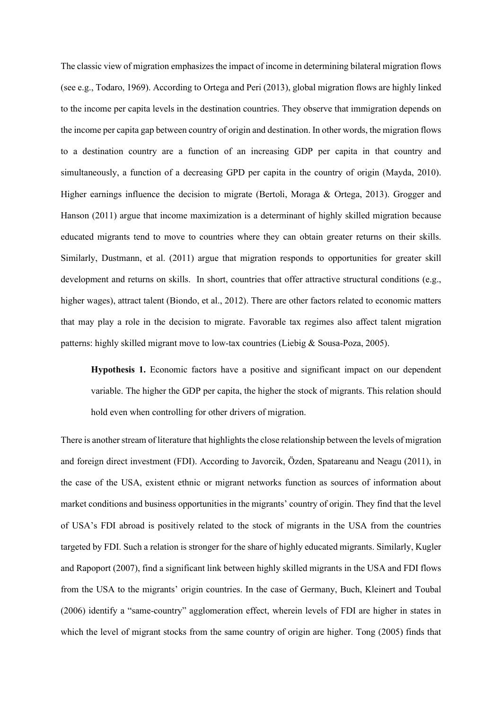The classic view of migration emphasizes the impact of income in determining bilateral migration flows (see e.g., Todaro, 1969). According to Ortega and Peri (2013), global migration flows are highly linked to the income per capita levels in the destination countries. They observe that immigration depends on the income per capita gap between country of origin and destination. In other words, the migration flows to a destination country are a function of an increasing GDP per capita in that country and simultaneously, a function of a decreasing GPD per capita in the country of origin (Mayda, 2010). Higher earnings influence the decision to migrate (Bertoli, Moraga & Ortega, 2013). Grogger and Hanson (2011) argue that income maximization is a determinant of highly skilled migration because educated migrants tend to move to countries where they can obtain greater returns on their skills. Similarly, Dustmann, et al. (2011) argue that migration responds to opportunities for greater skill development and returns on skills. In short, countries that offer attractive structural conditions (e.g., higher wages), attract talent (Biondo, et al., 2012). There are other factors related to economic matters that may play a role in the decision to migrate. Favorable tax regimes also affect talent migration patterns: highly skilled migrant move to low-tax countries (Liebig & Sousa-Poza, 2005).

**Hypothesis 1.** Economic factors have a positive and significant impact on our dependent variable. The higher the GDP per capita, the higher the stock of migrants. This relation should hold even when controlling for other drivers of migration.

There is another stream of literature that highlights the close relationship between the levels of migration and foreign direct investment (FDI). According to Javorcik, Özden, Spatareanu and Neagu (2011), in the case of the USA, existent ethnic or migrant networks function as sources of information about market conditions and business opportunities in the migrants' country of origin. They find that the level of USA's FDI abroad is positively related to the stock of migrants in the USA from the countries targeted by FDI. Such a relation is stronger for the share of highly educated migrants. Similarly, Kugler and Rapoport (2007), find a significant link between highly skilled migrants in the USA and FDI flows from the USA to the migrants' origin countries. In the case of Germany, Buch, Kleinert and Toubal (2006) identify a "same-country" agglomeration effect, wherein levels of FDI are higher in states in which the level of migrant stocks from the same country of origin are higher. Tong (2005) finds that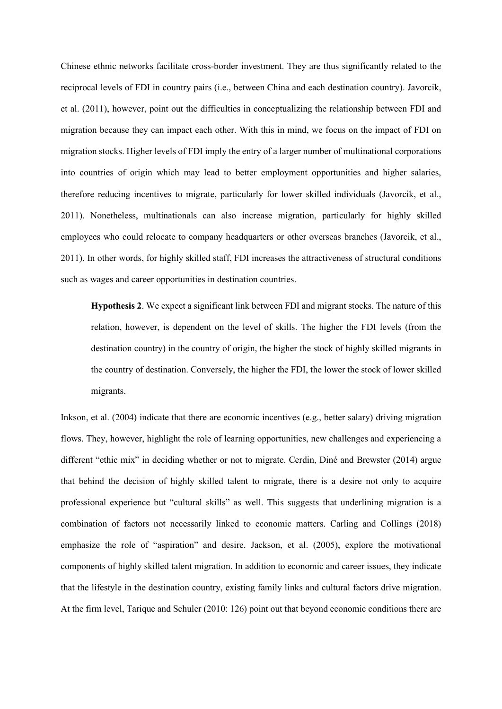Chinese ethnic networks facilitate cross-border investment. They are thus significantly related to the reciprocal levels of FDI in country pairs (i.e., between China and each destination country). Javorcik, et al. (2011), however, point out the difficulties in conceptualizing the relationship between FDI and migration because they can impact each other. With this in mind, we focus on the impact of FDI on migration stocks. Higher levels of FDI imply the entry of a larger number of multinational corporations into countries of origin which may lead to better employment opportunities and higher salaries, therefore reducing incentives to migrate, particularly for lower skilled individuals (Javorcik, et al., 2011). Nonetheless, multinationals can also increase migration, particularly for highly skilled employees who could relocate to company headquarters or other overseas branches (Javorcik, et al., 2011). In other words, for highly skilled staff, FDI increases the attractiveness of structural conditions such as wages and career opportunities in destination countries.

**Hypothesis 2**. We expect a significant link between FDI and migrant stocks. The nature of this relation, however, is dependent on the level of skills. The higher the FDI levels (from the destination country) in the country of origin, the higher the stock of highly skilled migrants in the country of destination. Conversely, the higher the FDI, the lower the stock of lower skilled migrants.

Inkson, et al. (2004) indicate that there are economic incentives (e.g., better salary) driving migration flows. They, however, highlight the role of learning opportunities, new challenges and experiencing a different "ethic mix" in deciding whether or not to migrate. Cerdin, Diné and Brewster (2014) argue that behind the decision of highly skilled talent to migrate, there is a desire not only to acquire professional experience but "cultural skills" as well. This suggests that underlining migration is a combination of factors not necessarily linked to economic matters. Carling and Collings (2018) emphasize the role of "aspiration" and desire. Jackson, et al. (2005), explore the motivational components of highly skilled talent migration. In addition to economic and career issues, they indicate that the lifestyle in the destination country, existing family links and cultural factors drive migration. At the firm level, Tarique and Schuler (2010: 126) point out that beyond economic conditions there are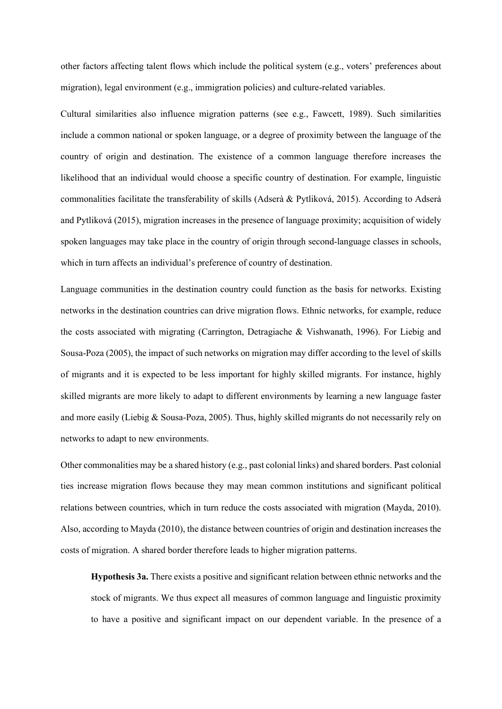other factors affecting talent flows which include the political system (e.g., voters' preferences about migration), legal environment (e.g., immigration policies) and culture-related variables.

Cultural similarities also influence migration patterns (see e.g., Fawcett, 1989). Such similarities include a common national or spoken language, or a degree of proximity between the language of the country of origin and destination. The existence of a common language therefore increases the likelihood that an individual would choose a specific country of destination. For example, linguistic commonalities facilitate the transferability of skills (Adserà & Pytliková, 2015). According to Adserà and Pytliková (2015), migration increases in the presence of language proximity; acquisition of widely spoken languages may take place in the country of origin through second-language classes in schools, which in turn affects an individual's preference of country of destination.

Language communities in the destination country could function as the basis for networks. Existing networks in the destination countries can drive migration flows. Ethnic networks, for example, reduce the costs associated with migrating (Carrington, Detragiache & Vishwanath, 1996). For Liebig and Sousa-Poza (2005), the impact of such networks on migration may differ according to the level of skills of migrants and it is expected to be less important for highly skilled migrants. For instance, highly skilled migrants are more likely to adapt to different environments by learning a new language faster and more easily (Liebig & Sousa-Poza, 2005). Thus, highly skilled migrants do not necessarily rely on networks to adapt to new environments.

Other commonalities may be a shared history (e.g., past colonial links) and shared borders. Past colonial ties increase migration flows because they may mean common institutions and significant political relations between countries, which in turn reduce the costs associated with migration (Mayda, 2010). Also, according to Mayda (2010), the distance between countries of origin and destination increases the costs of migration. A shared border therefore leads to higher migration patterns.

**Hypothesis 3a.** There exists a positive and significant relation between ethnic networks and the stock of migrants. We thus expect all measures of common language and linguistic proximity to have a positive and significant impact on our dependent variable. In the presence of a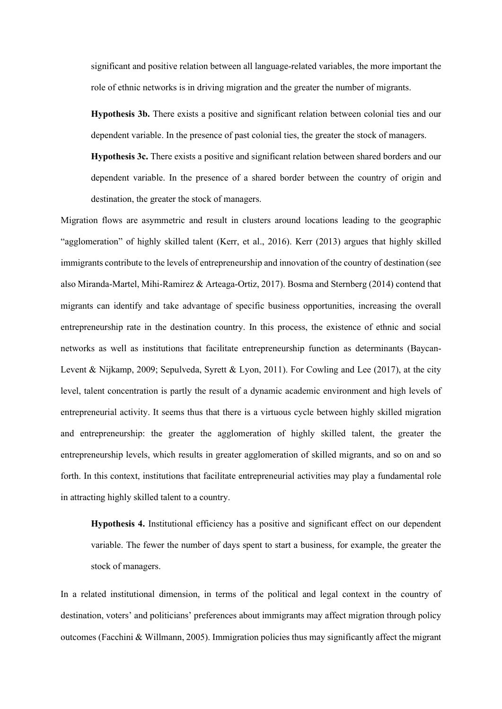significant and positive relation between all language-related variables, the more important the role of ethnic networks is in driving migration and the greater the number of migrants.

**Hypothesis 3b.** There exists a positive and significant relation between colonial ties and our dependent variable. In the presence of past colonial ties, the greater the stock of managers.

**Hypothesis 3c.** There exists a positive and significant relation between shared borders and our dependent variable. In the presence of a shared border between the country of origin and destination, the greater the stock of managers.

Migration flows are asymmetric and result in clusters around locations leading to the geographic "agglomeration" of highly skilled talent (Kerr, et al., 2016). Kerr (2013) argues that highly skilled immigrants contribute to the levels of entrepreneurship and innovation of the country of destination (see also Miranda-Martel, Mihi-Ramirez & Arteaga-Ortiz, 2017). Bosma and Sternberg (2014) contend that migrants can identify and take advantage of specific business opportunities, increasing the overall entrepreneurship rate in the destination country. In this process, the existence of ethnic and social networks as well as institutions that facilitate entrepreneurship function as determinants (Baycan-Levent & Nijkamp, 2009; Sepulveda, Syrett & Lyon, 2011). For Cowling and Lee (2017), at the city level, talent concentration is partly the result of a dynamic academic environment and high levels of entrepreneurial activity. It seems thus that there is a virtuous cycle between highly skilled migration and entrepreneurship: the greater the agglomeration of highly skilled talent, the greater the entrepreneurship levels, which results in greater agglomeration of skilled migrants, and so on and so forth. In this context, institutions that facilitate entrepreneurial activities may play a fundamental role in attracting highly skilled talent to a country.

**Hypothesis 4.** Institutional efficiency has a positive and significant effect on our dependent variable. The fewer the number of days spent to start a business, for example, the greater the stock of managers.

In a related institutional dimension, in terms of the political and legal context in the country of destination, voters' and politicians' preferences about immigrants may affect migration through policy outcomes (Facchini & Willmann, 2005). Immigration policies thus may significantly affect the migrant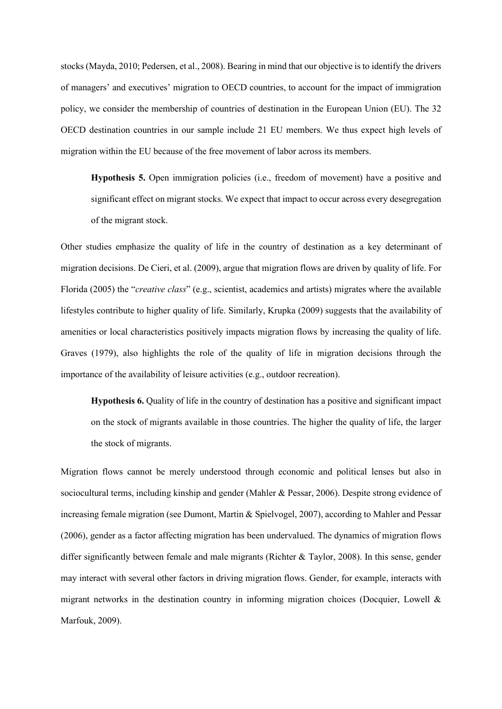stocks (Mayda, 2010; Pedersen, et al., 2008). Bearing in mind that our objective is to identify the drivers of managers' and executives' migration to OECD countries, to account for the impact of immigration policy, we consider the membership of countries of destination in the European Union (EU). The 32 OECD destination countries in our sample include 21 EU members. We thus expect high levels of migration within the EU because of the free movement of labor across its members.

**Hypothesis 5.** Open immigration policies (i.e., freedom of movement) have a positive and significant effect on migrant stocks. We expect that impact to occur across every desegregation of the migrant stock.

Other studies emphasize the quality of life in the country of destination as a key determinant of migration decisions. De Cieri, et al. (2009), argue that migration flows are driven by quality of life. For Florida (2005) the "*creative class*" (e.g., scientist, academics and artists) migrates where the available lifestyles contribute to higher quality of life. Similarly, Krupka (2009) suggests that the availability of amenities or local characteristics positively impacts migration flows by increasing the quality of life. Graves (1979), also highlights the role of the quality of life in migration decisions through the importance of the availability of leisure activities (e.g., outdoor recreation).

**Hypothesis 6.** Quality of life in the country of destination has a positive and significant impact on the stock of migrants available in those countries. The higher the quality of life, the larger the stock of migrants.

Migration flows cannot be merely understood through economic and political lenses but also in sociocultural terms, including kinship and gender (Mahler & Pessar, 2006). Despite strong evidence of increasing female migration (see Dumont, Martin & Spielvogel, 2007), according to Mahler and Pessar (2006), gender as a factor affecting migration has been undervalued. The dynamics of migration flows differ significantly between female and male migrants (Richter & Taylor, 2008). In this sense, gender may interact with several other factors in driving migration flows. Gender, for example, interacts with migrant networks in the destination country in informing migration choices (Docquier, Lowell & Marfouk, 2009).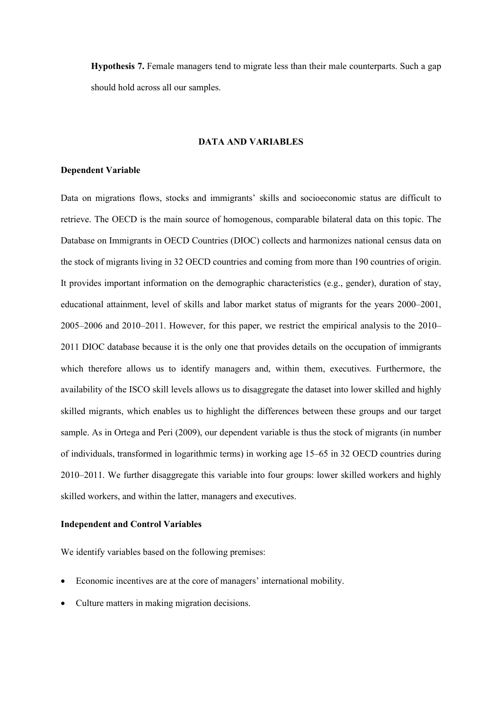**Hypothesis 7.** Female managers tend to migrate less than their male counterparts. Such a gap should hold across all our samples.

## **DATA AND VARIABLES**

### **Dependent Variable**

Data on migrations flows, stocks and immigrants' skills and socioeconomic status are difficult to retrieve. The OECD is the main source of homogenous, comparable bilateral data on this topic. The Database on Immigrants in OECD Countries (DIOC) collects and harmonizes national census data on the stock of migrants living in 32 OECD countries and coming from more than 190 countries of origin. It provides important information on the demographic characteristics (e.g., gender), duration of stay, educational attainment, level of skills and labor market status of migrants for the years 2000–2001, 2005–2006 and 2010–2011. However, for this paper, we restrict the empirical analysis to the 2010– 2011 DIOC database because it is the only one that provides details on the occupation of immigrants which therefore allows us to identify managers and, within them, executives. Furthermore, the availability of the ISCO skill levels allows us to disaggregate the dataset into lower skilled and highly skilled migrants, which enables us to highlight the differences between these groups and our target sample. As in Ortega and Peri (2009), our dependent variable is thus the stock of migrants (in number of individuals, transformed in logarithmic terms) in working age 15–65 in 32 OECD countries during 2010–2011. We further disaggregate this variable into four groups: lower skilled workers and highly skilled workers, and within the latter, managers and executives.

#### **Independent and Control Variables**

We identify variables based on the following premises:

- Economic incentives are at the core of managers' international mobility.
- Culture matters in making migration decisions.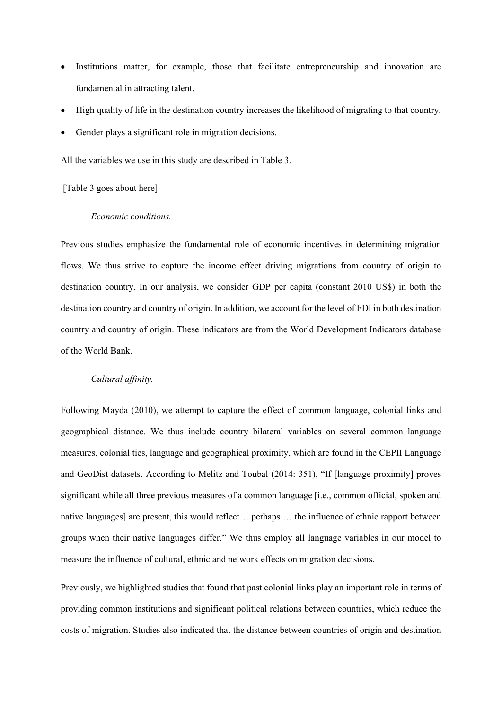- Institutions matter, for example, those that facilitate entrepreneurship and innovation are fundamental in attracting talent.
- High quality of life in the destination country increases the likelihood of migrating to that country.
- Gender plays a significant role in migration decisions.

All the variables we use in this study are described in Table 3.

[Table 3 goes about here]

# *Economic conditions.*

Previous studies emphasize the fundamental role of economic incentives in determining migration flows. We thus strive to capture the income effect driving migrations from country of origin to destination country. In our analysis, we consider GDP per capita (constant 2010 US\$) in both the destination country and country of origin. In addition, we account for the level of FDI in both destination country and country of origin. These indicators are from the World Development Indicators database of the World Bank.

## *Cultural affinity.*

Following Mayda (2010), we attempt to capture the effect of common language, colonial links and geographical distance. We thus include country bilateral variables on several common language measures, colonial ties, language and geographical proximity, which are found in the CEPII Language and GeoDist datasets. According to Melitz and Toubal (2014: 351), "If [language proximity] proves significant while all three previous measures of a common language [i.e., common official, spoken and native languages] are present, this would reflect… perhaps … the influence of ethnic rapport between groups when their native languages differ." We thus employ all language variables in our model to measure the influence of cultural, ethnic and network effects on migration decisions.

Previously, we highlighted studies that found that past colonial links play an important role in terms of providing common institutions and significant political relations between countries, which reduce the costs of migration. Studies also indicated that the distance between countries of origin and destination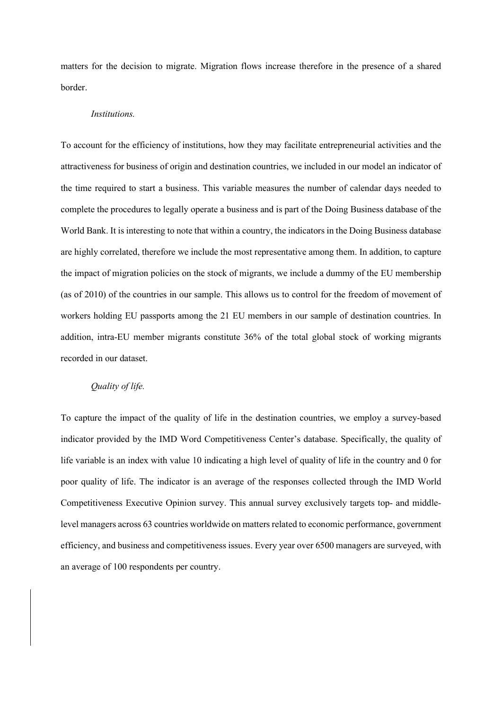matters for the decision to migrate. Migration flows increase therefore in the presence of a shared border.

## *Institutions.*

To account for the efficiency of institutions, how they may facilitate entrepreneurial activities and the attractiveness for business of origin and destination countries, we included in our model an indicator of the time required to start a business. This variable measures the number of calendar days needed to complete the procedures to legally operate a business and is part of the Doing Business database of the World Bank. It is interesting to note that within a country, the indicators in the Doing Business database are highly correlated, therefore we include the most representative among them. In addition, to capture the impact of migration policies on the stock of migrants, we include a dummy of the EU membership (as of 2010) of the countries in our sample. This allows us to control for the freedom of movement of workers holding EU passports among the 21 EU members in our sample of destination countries. In addition, intra-EU member migrants constitute 36% of the total global stock of working migrants recorded in our dataset.

# *Quality of life.*

To capture the impact of the quality of life in the destination countries, we employ a survey-based indicator provided by the IMD Word Competitiveness Center's database. Specifically, the quality of life variable is an index with value 10 indicating a high level of quality of life in the country and 0 for poor quality of life. The indicator is an average of the responses collected through the IMD World Competitiveness Executive Opinion survey. This annual survey exclusively targets top- and middlelevel managers across 63 countries worldwide on matters related to economic performance, government efficiency, and business and competitiveness issues. Every year over 6500 managers are surveyed, with an average of 100 respondents per country.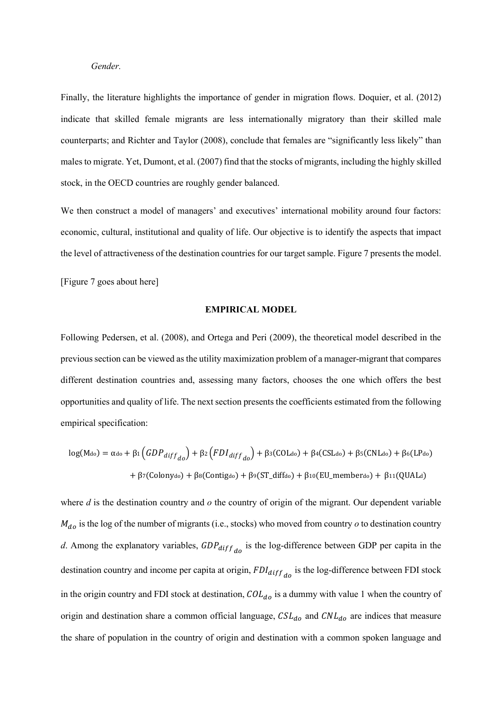#### *Gender.*

Finally, the literature highlights the importance of gender in migration flows. Doquier, et al. (2012) indicate that skilled female migrants are less internationally migratory than their skilled male counterparts; and Richter and Taylor (2008), conclude that females are "significantly less likely" than males to migrate. Yet, Dumont, et al. (2007) find that the stocks of migrants, including the highly skilled stock, in the OECD countries are roughly gender balanced.

We then construct a model of managers' and executives' international mobility around four factors: economic, cultural, institutional and quality of life. Our objective is to identify the aspects that impact the level of attractiveness of the destination countries for our target sample. Figure 7 presents the model.

[Figure 7 goes about here]

#### **EMPIRICAL MODEL**

Following Pedersen, et al. (2008), and Ortega and Peri (2009), the theoretical model described in the previous section can be viewed as the utility maximization problem of a manager-migrant that compares different destination countries and, assessing many factors, chooses the one which offers the best opportunities and quality of life. The next section presents the coefficients estimated from the following empirical specification:

$$
log(M_{do}) = \alpha_{do} + \beta_1 (GDP_{diff_{do}}) + \beta_2 (FDI_{diff_{do}}) + \beta_3 (COL_{do}) + \beta_4 (CSL_{do}) + \beta_5 (CNL_{do}) + \beta_6 (LP_{do})
$$

$$
+ \beta_7 (Colony_{do}) + \beta_8 (Contiga_{o}) + \beta_9 (ST_diff_{do}) + \beta_{10} (EU_member_{do}) + \beta_{11} (QUAL_{d})
$$

where *d* is the destination country and *o* the country of origin of the migrant. Our dependent variable  $M_{do}$  is the log of the number of migrants (i.e., stocks) who moved from country  $o$  to destination country *d*. Among the explanatory variables,  $GDP_{diff_{do}}$  is the log-difference between GDP per capita in the destination country and income per capita at origin,  $FDI_{diff}$  is the log-difference between FDI stock in the origin country and FDI stock at destination,  $COL_{do}$  is a dummy with value 1 when the country of origin and destination share a common official language,  $CSL_{do}$  and  $CNL_{do}$  are indices that measure the share of population in the country of origin and destination with a common spoken language and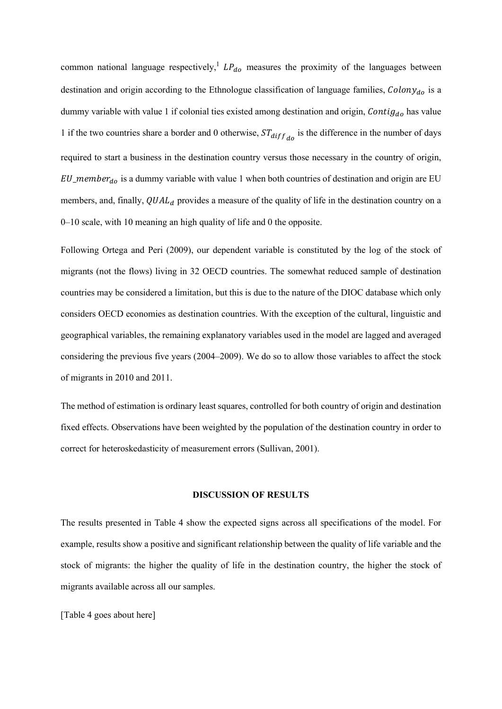common national language respectively,  $L P_{do}$  measures the proximity of the languages between destination and origin according to the Ethnologue classification of language families,  $Colony_{do}$  is a dummy variable with value 1 if colonial ties existed among destination and origin,  $Contig_{do}$  has value 1 if the two countries share a border and 0 otherwise,  $ST_{diff_{do}}$  is the difference in the number of days required to start a business in the destination country versus those necessary in the country of origin,  $EU\_member_{do}$  is a dummy variable with value 1 when both countries of destination and origin are EU members, and, finally,  $QUAL_d$  provides a measure of the quality of life in the destination country on a 0–10 scale, with 10 meaning an high quality of life and 0 the opposite.

Following Ortega and Peri (2009), our dependent variable is constituted by the log of the stock of migrants (not the flows) living in 32 OECD countries. The somewhat reduced sample of destination countries may be considered a limitation, but this is due to the nature of the DIOC database which only considers OECD economies as destination countries. With the exception of the cultural, linguistic and geographical variables, the remaining explanatory variables used in the model are lagged and averaged considering the previous five years (2004–2009). We do so to allow those variables to affect the stock of migrants in 2010 and 2011.

The method of estimation is ordinary least squares, controlled for both country of origin and destination fixed effects. Observations have been weighted by the population of the destination country in order to correct for heteroskedasticity of measurement errors (Sullivan, 2001).

## **DISCUSSION OF RESULTS**

The results presented in Table 4 show the expected signs across all specifications of the model. For example, results show a positive and significant relationship between the quality of life variable and the stock of migrants: the higher the quality of life in the destination country, the higher the stock of migrants available across all our samples.

[Table 4 goes about here]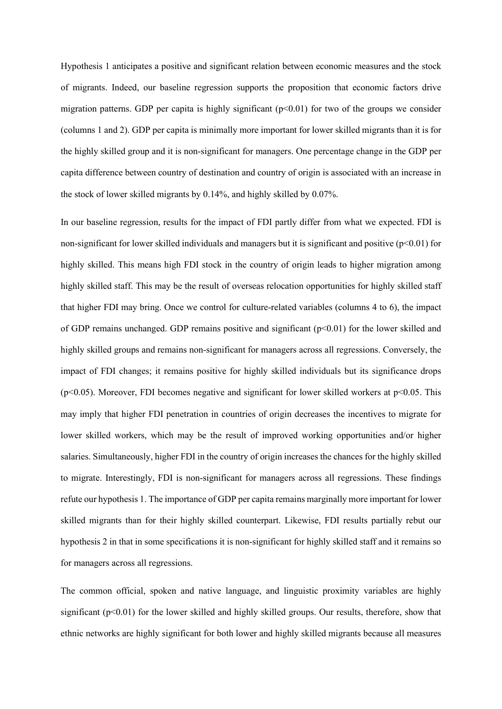Hypothesis 1 anticipates a positive and significant relation between economic measures and the stock of migrants. Indeed, our baseline regression supports the proposition that economic factors drive migration patterns. GDP per capita is highly significant  $(p<0.01)$  for two of the groups we consider (columns 1 and 2). GDP per capita is minimally more important for lower skilled migrants than it is for the highly skilled group and it is non-significant for managers. One percentage change in the GDP per capita difference between country of destination and country of origin is associated with an increase in the stock of lower skilled migrants by 0.14%, and highly skilled by 0.07%.

In our baseline regression, results for the impact of FDI partly differ from what we expected. FDI is non-significant for lower skilled individuals and managers but it is significant and positive ( $p<0.01$ ) for highly skilled. This means high FDI stock in the country of origin leads to higher migration among highly skilled staff. This may be the result of overseas relocation opportunities for highly skilled staff that higher FDI may bring. Once we control for culture-related variables (columns 4 to 6), the impact of GDP remains unchanged. GDP remains positive and significant  $(p<0.01)$  for the lower skilled and highly skilled groups and remains non-significant for managers across all regressions. Conversely, the impact of FDI changes; it remains positive for highly skilled individuals but its significance drops ( $p$ <0.05). Moreover, FDI becomes negative and significant for lower skilled workers at  $p$ <0.05. This may imply that higher FDI penetration in countries of origin decreases the incentives to migrate for lower skilled workers, which may be the result of improved working opportunities and/or higher salaries. Simultaneously, higher FDI in the country of origin increases the chances for the highly skilled to migrate. Interestingly, FDI is non-significant for managers across all regressions. These findings refute our hypothesis 1. The importance of GDP per capita remains marginally more important for lower skilled migrants than for their highly skilled counterpart. Likewise, FDI results partially rebut our hypothesis 2 in that in some specifications it is non-significant for highly skilled staff and it remains so for managers across all regressions.

The common official, spoken and native language, and linguistic proximity variables are highly significant (p<0.01) for the lower skilled and highly skilled groups. Our results, therefore, show that ethnic networks are highly significant for both lower and highly skilled migrants because all measures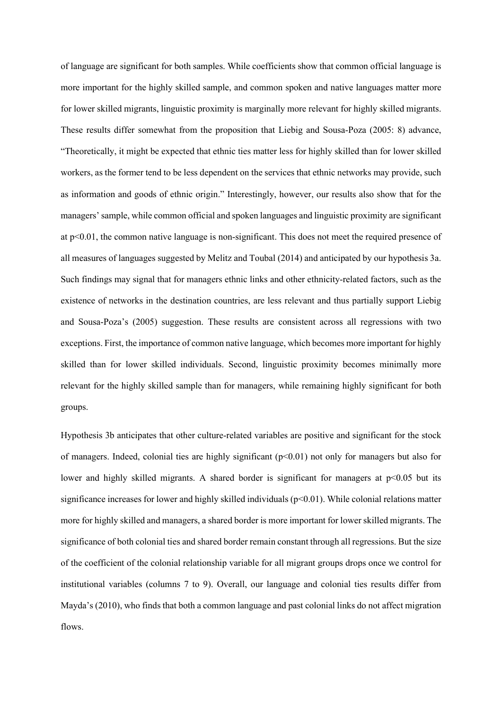of language are significant for both samples. While coefficients show that common official language is more important for the highly skilled sample, and common spoken and native languages matter more for lower skilled migrants, linguistic proximity is marginally more relevant for highly skilled migrants. These results differ somewhat from the proposition that Liebig and Sousa-Poza (2005: 8) advance, "Theoretically, it might be expected that ethnic ties matter less for highly skilled than for lower skilled workers, as the former tend to be less dependent on the services that ethnic networks may provide, such as information and goods of ethnic origin." Interestingly, however, our results also show that for the managers'sample, while common official and spoken languages and linguistic proximity are significant at p<0.01, the common native language is non-significant. This does not meet the required presence of all measures of languages suggested by Melitz and Toubal (2014) and anticipated by our hypothesis 3a. Such findings may signal that for managers ethnic links and other ethnicity-related factors, such as the existence of networks in the destination countries, are less relevant and thus partially support Liebig and Sousa-Poza's (2005) suggestion. These results are consistent across all regressions with two exceptions. First, the importance of common native language, which becomes more important for highly skilled than for lower skilled individuals. Second, linguistic proximity becomes minimally more relevant for the highly skilled sample than for managers, while remaining highly significant for both groups.

Hypothesis 3b anticipates that other culture-related variables are positive and significant for the stock of managers. Indeed, colonial ties are highly significant  $(p<0.01)$  not only for managers but also for lower and highly skilled migrants. A shared border is significant for managers at  $p<0.05$  but its significance increases for lower and highly skilled individuals ( $p<0.01$ ). While colonial relations matter more for highly skilled and managers, a shared border is more important for lower skilled migrants. The significance of both colonial ties and shared border remain constant through all regressions. But the size of the coefficient of the colonial relationship variable for all migrant groups drops once we control for institutional variables (columns 7 to 9). Overall, our language and colonial ties results differ from Mayda's (2010), who finds that both a common language and past colonial links do not affect migration flows.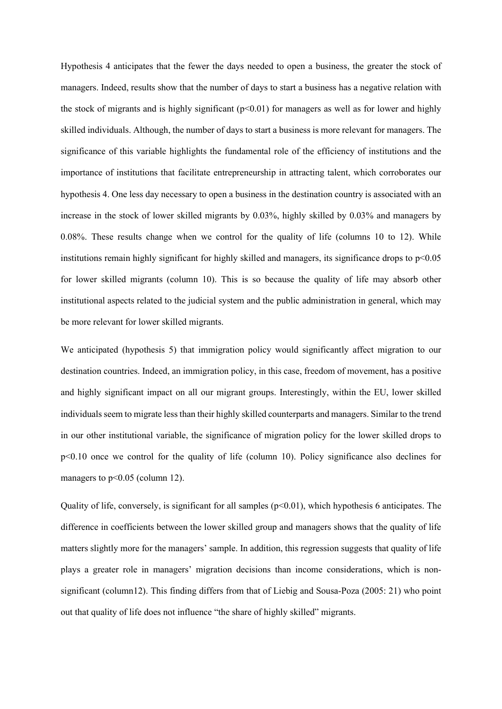Hypothesis 4 anticipates that the fewer the days needed to open a business, the greater the stock of managers. Indeed, results show that the number of days to start a business has a negative relation with the stock of migrants and is highly significant ( $p<0.01$ ) for managers as well as for lower and highly skilled individuals. Although, the number of days to start a business is more relevant for managers. The significance of this variable highlights the fundamental role of the efficiency of institutions and the importance of institutions that facilitate entrepreneurship in attracting talent, which corroborates our hypothesis 4. One less day necessary to open a business in the destination country is associated with an increase in the stock of lower skilled migrants by 0.03%, highly skilled by 0.03% and managers by 0.08%. These results change when we control for the quality of life (columns 10 to 12). While institutions remain highly significant for highly skilled and managers, its significance drops to p<0.05 for lower skilled migrants (column 10). This is so because the quality of life may absorb other institutional aspects related to the judicial system and the public administration in general, which may be more relevant for lower skilled migrants.

We anticipated (hypothesis 5) that immigration policy would significantly affect migration to our destination countries. Indeed, an immigration policy, in this case, freedom of movement, has a positive and highly significant impact on all our migrant groups. Interestingly, within the EU, lower skilled individuals seem to migrate less than their highly skilled counterparts and managers. Similar to the trend in our other institutional variable, the significance of migration policy for the lower skilled drops to p<0.10 once we control for the quality of life (column 10). Policy significance also declines for managers to  $p<0.05$  (column 12).

Quality of life, conversely, is significant for all samples  $(p<0.01)$ , which hypothesis 6 anticipates. The difference in coefficients between the lower skilled group and managers shows that the quality of life matters slightly more for the managers' sample. In addition, this regression suggests that quality of life plays a greater role in managers' migration decisions than income considerations, which is nonsignificant (column12). This finding differs from that of Liebig and Sousa-Poza (2005: 21) who point out that quality of life does not influence "the share of highly skilled" migrants.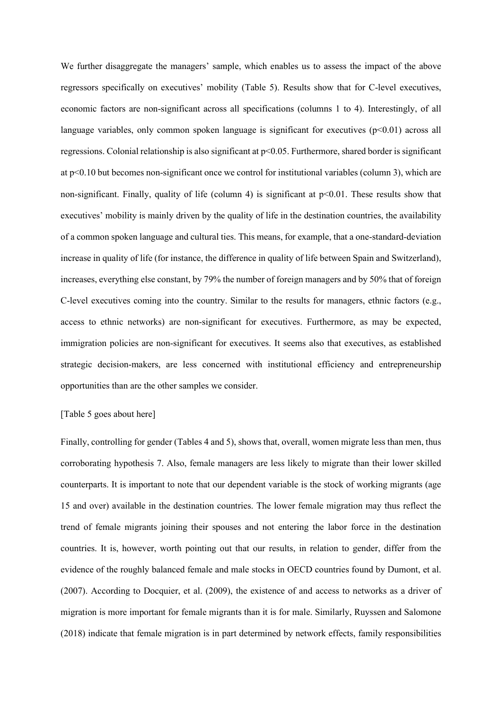We further disaggregate the managers' sample, which enables us to assess the impact of the above regressors specifically on executives' mobility (Table 5). Results show that for C-level executives, economic factors are non-significant across all specifications (columns 1 to 4). Interestingly, of all language variables, only common spoken language is significant for executives  $(p<0.01)$  across all regressions. Colonial relationship is also significant at p<0.05. Furthermore, shared border is significant at p<0.10 but becomes non-significant once we control for institutional variables (column 3), which are non-significant. Finally, quality of life (column 4) is significant at p<0.01. These results show that executives' mobility is mainly driven by the quality of life in the destination countries, the availability of a common spoken language and cultural ties. This means, for example, that a one-standard-deviation increase in quality of life (for instance, the difference in quality of life between Spain and Switzerland), increases, everything else constant, by 79% the number of foreign managers and by 50% that of foreign C-level executives coming into the country. Similar to the results for managers, ethnic factors (e.g., access to ethnic networks) are non-significant for executives. Furthermore, as may be expected, immigration policies are non-significant for executives. It seems also that executives, as established strategic decision-makers, are less concerned with institutional efficiency and entrepreneurship opportunities than are the other samples we consider.

## [Table 5 goes about here]

Finally, controlling for gender (Tables 4 and 5), shows that, overall, women migrate less than men, thus corroborating hypothesis 7. Also, female managers are less likely to migrate than their lower skilled counterparts. It is important to note that our dependent variable is the stock of working migrants (age 15 and over) available in the destination countries. The lower female migration may thus reflect the trend of female migrants joining their spouses and not entering the labor force in the destination countries. It is, however, worth pointing out that our results, in relation to gender, differ from the evidence of the roughly balanced female and male stocks in OECD countries found by Dumont, et al. (2007). According to Docquier, et al. (2009), the existence of and access to networks as a driver of migration is more important for female migrants than it is for male. Similarly, Ruyssen and Salomone (2018) indicate that female migration is in part determined by network effects, family responsibilities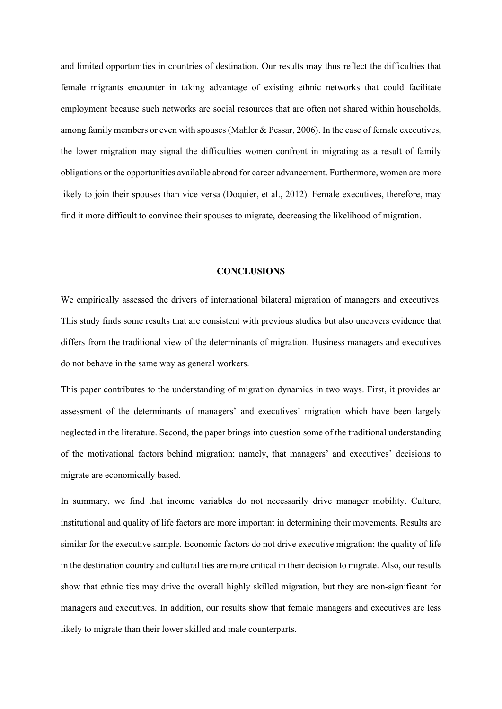and limited opportunities in countries of destination. Our results may thus reflect the difficulties that female migrants encounter in taking advantage of existing ethnic networks that could facilitate employment because such networks are social resources that are often not shared within households, among family members or even with spouses (Mahler & Pessar, 2006). In the case of female executives, the lower migration may signal the difficulties women confront in migrating as a result of family obligations or the opportunities available abroad for career advancement. Furthermore, women are more likely to join their spouses than vice versa (Doquier, et al., 2012). Female executives, therefore, may find it more difficult to convince their spouses to migrate, decreasing the likelihood of migration.

## **CONCLUSIONS**

We empirically assessed the drivers of international bilateral migration of managers and executives. This study finds some results that are consistent with previous studies but also uncovers evidence that differs from the traditional view of the determinants of migration. Business managers and executives do not behave in the same way as general workers.

This paper contributes to the understanding of migration dynamics in two ways. First, it provides an assessment of the determinants of managers' and executives' migration which have been largely neglected in the literature. Second, the paper brings into question some of the traditional understanding of the motivational factors behind migration; namely, that managers' and executives' decisions to migrate are economically based.

In summary, we find that income variables do not necessarily drive manager mobility. Culture, institutional and quality of life factors are more important in determining their movements. Results are similar for the executive sample. Economic factors do not drive executive migration; the quality of life in the destination country and cultural ties are more critical in their decision to migrate. Also, our results show that ethnic ties may drive the overall highly skilled migration, but they are non-significant for managers and executives. In addition, our results show that female managers and executives are less likely to migrate than their lower skilled and male counterparts.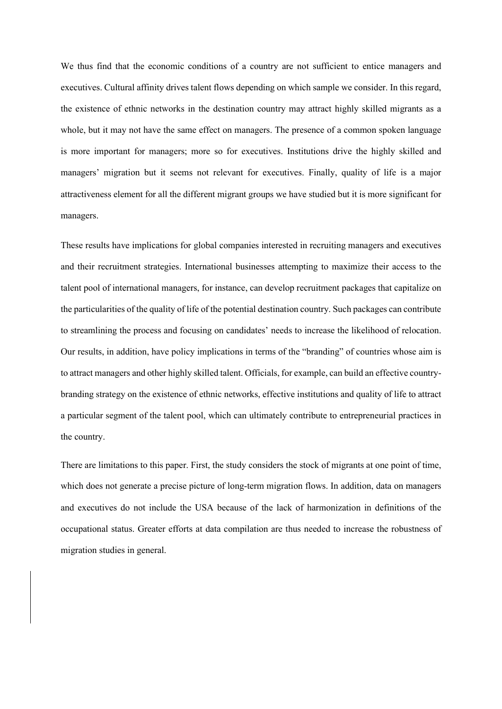We thus find that the economic conditions of a country are not sufficient to entice managers and executives. Cultural affinity drives talent flows depending on which sample we consider. In this regard, the existence of ethnic networks in the destination country may attract highly skilled migrants as a whole, but it may not have the same effect on managers. The presence of a common spoken language is more important for managers; more so for executives. Institutions drive the highly skilled and managers' migration but it seems not relevant for executives. Finally, quality of life is a major attractiveness element for all the different migrant groups we have studied but it is more significant for managers.

These results have implications for global companies interested in recruiting managers and executives and their recruitment strategies. International businesses attempting to maximize their access to the talent pool of international managers, for instance, can develop recruitment packages that capitalize on the particularities of the quality of life of the potential destination country. Such packages can contribute to streamlining the process and focusing on candidates' needs to increase the likelihood of relocation. Our results, in addition, have policy implications in terms of the "branding" of countries whose aim is to attract managers and other highly skilled talent. Officials, for example, can build an effective countrybranding strategy on the existence of ethnic networks, effective institutions and quality of life to attract a particular segment of the talent pool, which can ultimately contribute to entrepreneurial practices in the country.

There are limitations to this paper. First, the study considers the stock of migrants at one point of time, which does not generate a precise picture of long-term migration flows. In addition, data on managers and executives do not include the USA because of the lack of harmonization in definitions of the occupational status. Greater efforts at data compilation are thus needed to increase the robustness of migration studies in general.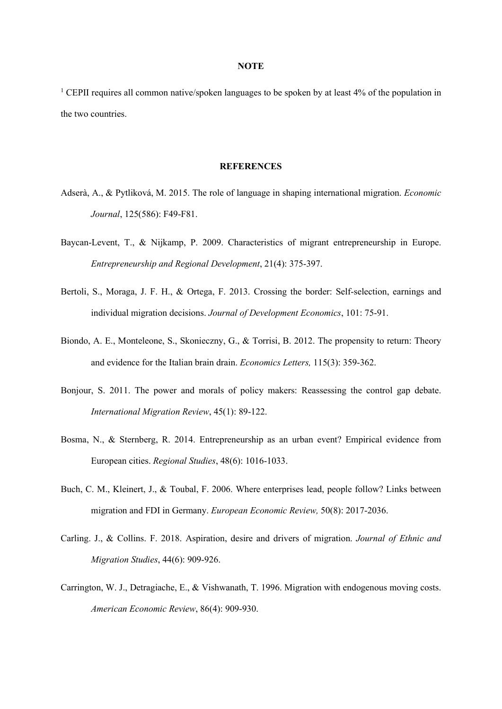#### **NOTE**

<sup>1</sup> CEPII requires all common native/spoken languages to be spoken by at least 4% of the population in the two countries.

#### **REFERENCES**

- Adserà, A., & Pytliková, M. 2015. The role of language in shaping international migration. *Economic Journal*, 125(586): F49-F81.
- Baycan-Levent, T., & Nijkamp, P. 2009. Characteristics of migrant entrepreneurship in Europe. *Entrepreneurship and Regional Development*, 21(4): 375-397.
- Bertoli, S., Moraga, J. F. H., & Ortega, F. 2013. Crossing the border: Self-selection, earnings and individual migration decisions. *Journal of Development Economics*, 101: 75-91.
- Biondo, A. E., Monteleone, S., Skonieczny, G., & Torrisi, B. 2012. The propensity to return: Theory and evidence for the Italian brain drain. *Economics Letters,* 115(3): 359-362.
- Bonjour, S. 2011. The power and morals of policy makers: Reassessing the control gap debate. *International Migration Review*, 45(1): 89-122.
- Bosma, N., & Sternberg, R. 2014. Entrepreneurship as an urban event? Empirical evidence from European cities. *Regional Studies*, 48(6): 1016-1033.
- Buch, C. M., Kleinert, J., & Toubal, F. 2006. Where enterprises lead, people follow? Links between migration and FDI in Germany. *European Economic Review,* 50(8): 2017-2036.
- Carling. J., & Collins. F. 2018. Aspiration, desire and drivers of migration. *Journal of Ethnic and Migration Studies*, 44(6): 909-926.
- Carrington, W. J., Detragiache, E., & Vishwanath, T. 1996. Migration with endogenous moving costs. *American Economic Review*, 86(4): 909-930.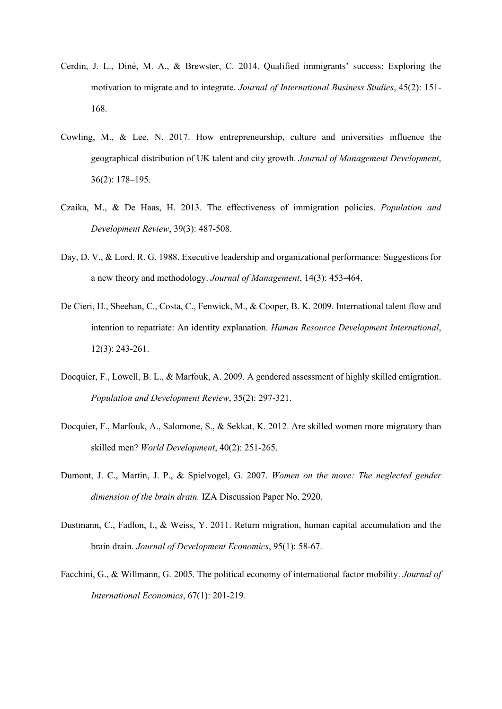- Cerdin, J. L., Diné, M. A., & Brewster, C. 2014. Qualified immigrants' success: Exploring the motivation to migrate and to integrate. *Journal of International Business Studies*, 45(2): 151- 168.
- Cowling, M., & Lee, N. 2017. How entrepreneurship, culture and universities influence the geographical distribution of UK talent and city growth. *Journal of Management Development*, 36(2): 178–195.
- Czaika, M., & De Haas, H. 2013. The effectiveness of immigration policies. *Population and Development Review*, 39(3): 487-508.
- Day, D. V., & Lord, R. G. 1988. Executive leadership and organizational performance: Suggestions for a new theory and methodology. *Journal of Management*, 14(3): 453-464.
- De Cieri, H., Sheehan, C., Costa, C., Fenwick, M., & Cooper, B. K. 2009. International talent flow and intention to repatriate: An identity explanation. *Human Resource Development International*, 12(3): 243-261.
- Docquier, F., Lowell, B. L., & Marfouk, A. 2009. A gendered assessment of highly skilled emigration. *Population and Development Review*, 35(2): 297-321.
- Docquier, F., Marfouk, A., Salomone, S., & Sekkat, K. 2012. Are skilled women more migratory than skilled men? *World Development*, 40(2): 251-265.
- Dumont, J. C., Martin, J. P., & Spielvogel, G. 2007. *Women on the move: The neglected gender dimension of the brain drain.* IZA Discussion Paper No. 2920.
- Dustmann, C., Fadlon, I., & Weiss, Y. 2011. Return migration, human capital accumulation and the brain drain. *Journal of Development Economics*, 95(1): 58-67.
- Facchini, G., & Willmann, G. 2005. The political economy of international factor mobility. *Journal of International Economics*, 67(1): 201-219.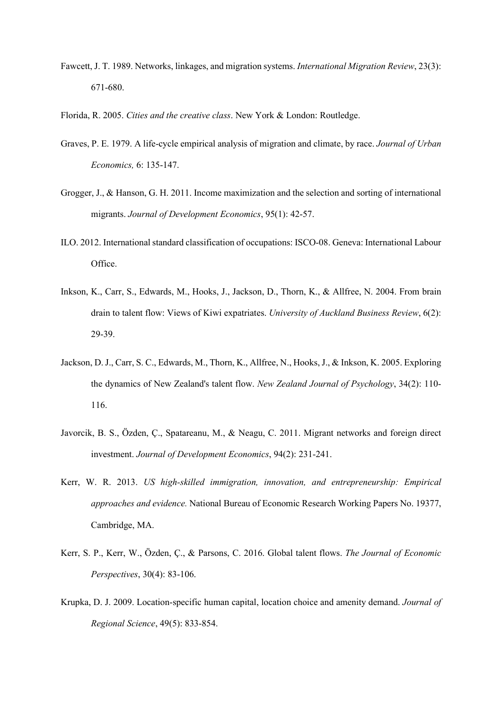- Fawcett, J. T. 1989. Networks, linkages, and migration systems. *International Migration Review*, 23(3): 671-680.
- Florida, R. 2005. *Cities and the creative class*. New York & London: Routledge.
- Graves, P. E. 1979. A life-cycle empirical analysis of migration and climate, by race. *Journal of Urban Economics,* 6: 135-147.
- Grogger, J., & Hanson, G. H. 2011. Income maximization and the selection and sorting of international migrants. *Journal of Development Economics*, 95(1): 42-57.
- ILO. 2012. International standard classification of occupations: ISCO-08. Geneva: International Labour Office.
- Inkson, K., Carr, S., Edwards, M., Hooks, J., Jackson, D., Thorn, K., & Allfree, N. 2004. From brain drain to talent flow: Views of Kiwi expatriates. *University of Auckland Business Review*, 6(2): 29-39.
- Jackson, D. J., Carr, S. C., Edwards, M., Thorn, K., Allfree, N., Hooks, J., & Inkson, K. 2005. Exploring the dynamics of New Zealand's talent flow. *New Zealand Journal of Psychology*, 34(2): 110- 116.
- Javorcik, B. S., Özden, Ç., Spatareanu, M., & Neagu, C. 2011. Migrant networks and foreign direct investment. *Journal of Development Economics*, 94(2): 231-241.
- Kerr, W. R. 2013. *US high-skilled immigration, innovation, and entrepreneurship: Empirical approaches and evidence.* National Bureau of Economic Research Working Papers No. 19377, Cambridge, MA.
- Kerr, S. P., Kerr, W., Özden, Ç., & Parsons, C. 2016. Global talent flows. *The Journal of Economic Perspectives*, 30(4): 83-106.
- Krupka, D. J. 2009. Location‐specific human capital, location choice and amenity demand. *Journal of Regional Science*, 49(5): 833-854.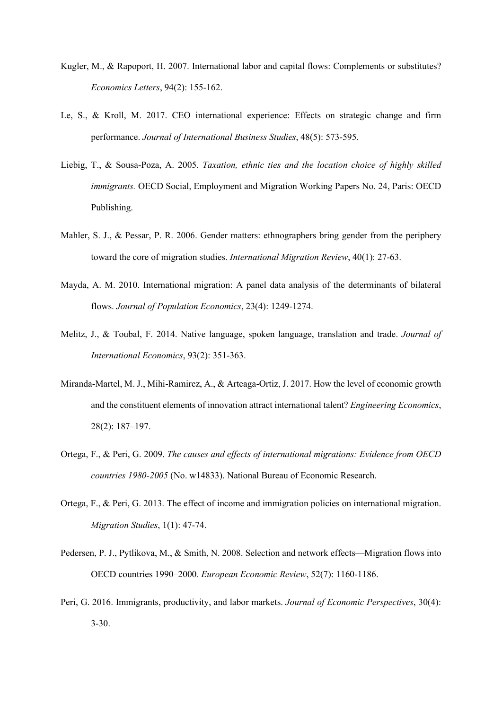- Kugler, M., & Rapoport, H. 2007. International labor and capital flows: Complements or substitutes? *Economics Letters*, 94(2): 155-162.
- Le, S., & Kroll, M. 2017. CEO international experience: Effects on strategic change and firm performance. *Journal of International Business Studies*, 48(5): 573-595.
- Liebig, T., & Sousa-Poza, A. 2005. *Taxation, ethnic ties and the location choice of highly skilled immigrants.* OECD Social, Employment and Migration Working Papers No. 24, Paris: OECD Publishing.
- Mahler, S. J., & Pessar, P. R. 2006. Gender matters: ethnographers bring gender from the periphery toward the core of migration studies. *International Migration Review*, 40(1): 27-63.
- Mayda, A. M. 2010. International migration: A panel data analysis of the determinants of bilateral flows. *Journal of Population Economics*, 23(4): 1249-1274.
- Melitz, J., & Toubal, F. 2014. Native language, spoken language, translation and trade. *Journal of International Economics*, 93(2): 351-363.
- Miranda-Martel, M. J., Mihi-Ramirez, A., & Arteaga-Ortiz, J. 2017. How the level of economic growth and the constituent elements of innovation attract international talent? *Engineering Economics*, 28(2): 187–197.
- Ortega, F., & Peri, G. 2009. *The causes and effects of international migrations: Evidence from OECD countries 1980-2005* (No. w14833). National Bureau of Economic Research.
- Ortega, F., & Peri, G. 2013. The effect of income and immigration policies on international migration. *Migration Studies*, 1(1): 47-74.
- Pedersen, P. J., Pytlikova, M., & Smith, N. 2008. Selection and network effects—Migration flows into OECD countries 1990–2000. *European Economic Review*, 52(7): 1160-1186.
- Peri, G. 2016. Immigrants, productivity, and labor markets. *Journal of Economic Perspectives*, 30(4): 3-30.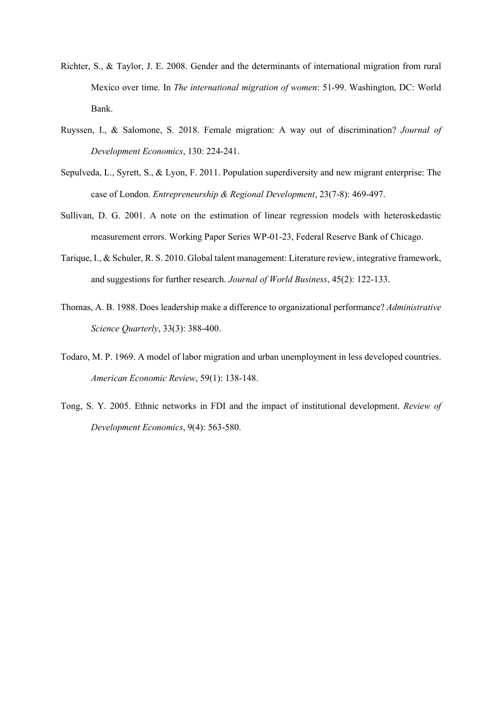- Richter, S., & Taylor, J. E. 2008. Gender and the determinants of international migration from rural Mexico over time. In *The international migration of women*: 51-99. Washington, DC: World Bank.
- Ruyssen, I., & Salomone, S. 2018. Female migration: A way out of discrimination? *Journal of Development Economics*, 130: 224-241.
- Sepulveda, L., Syrett, S., & Lyon, F. 2011. Population superdiversity and new migrant enterprise: The case of London. *Entrepreneurship & Regional Development*, 23(7-8): 469-497.
- Sullivan, D. G. 2001. A note on the estimation of linear regression models with heteroskedastic measurement errors. Working Paper Series WP-01-23, Federal Reserve Bank of Chicago.
- Tarique, I., & Schuler, R. S. 2010. Global talent management: Literature review, integrative framework, and suggestions for further research. *Journal of World Business*, 45(2): 122-133.
- Thomas, A. B. 1988. Does leadership make a difference to organizational performance? *Administrative Science Quarterly*, 33(3): 388-400.
- Todaro, M. P. 1969. A model of labor migration and urban unemployment in less developed countries. *American Economic Review*, 59(1): 138-148.
- Tong, S. Y. 2005. Ethnic networks in FDI and the impact of institutional development. *Review of Development Economics*, 9(4): 563-580.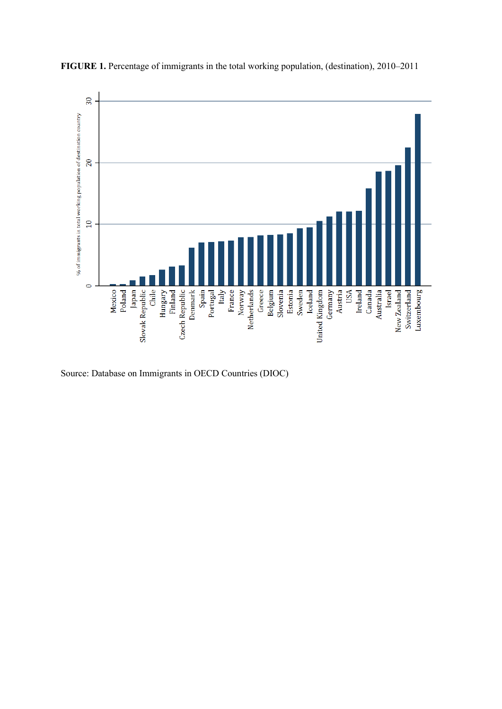

**FIGURE 1.** Percentage of immigrants in the total working population, (destination), 2010–2011

Source: Database on Immigrants in OECD Countries (DIOC)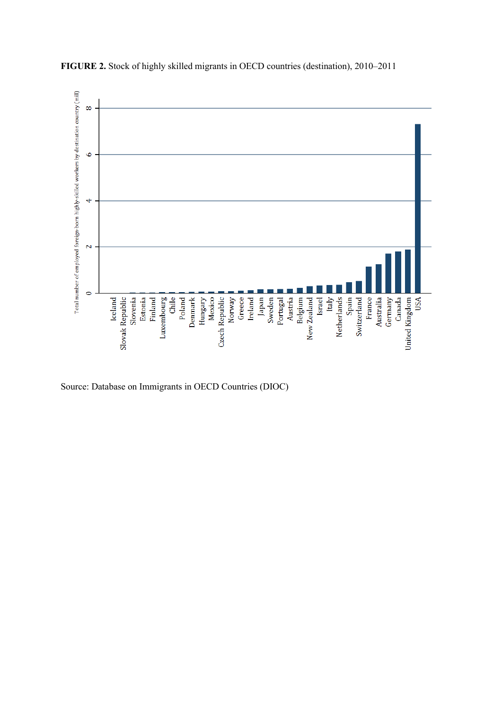

**FIGURE 2.** Stock of highly skilled migrants in OECD countries (destination), 2010–2011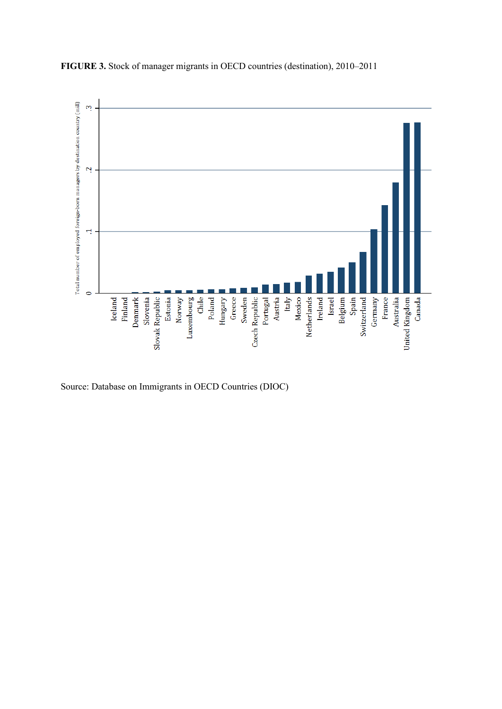

**FIGURE 3.** Stock of manager migrants in OECD countries (destination), 2010–2011

Source: Database on Immigrants in OECD Countries (DIOC)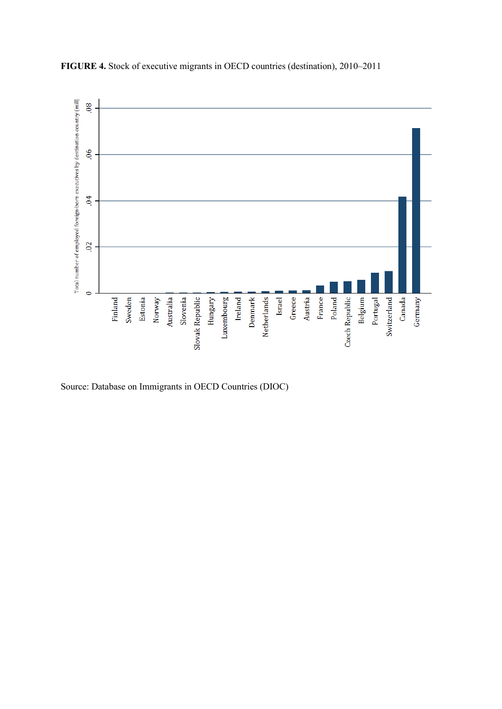

**FIGURE 4.** Stock of executive migrants in OECD countries (destination), 2010–2011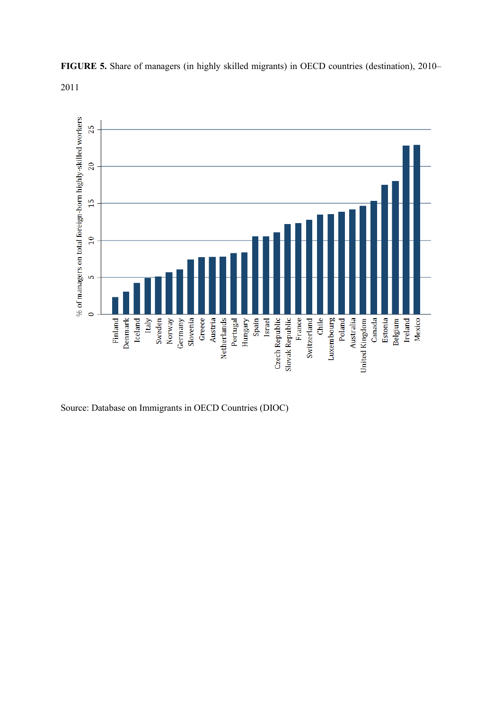

**FIGURE 5.** Share of managers (in highly skilled migrants) in OECD countries (destination), 2010–

2011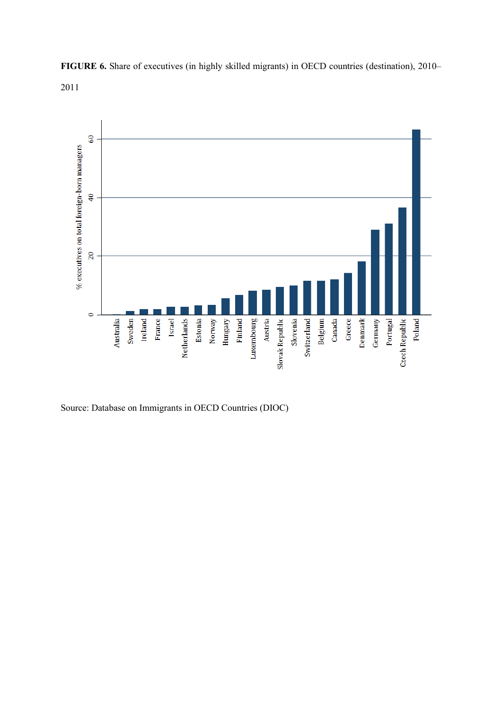

**FIGURE 6.** Share of executives (in highly skilled migrants) in OECD countries (destination), 2010–

2011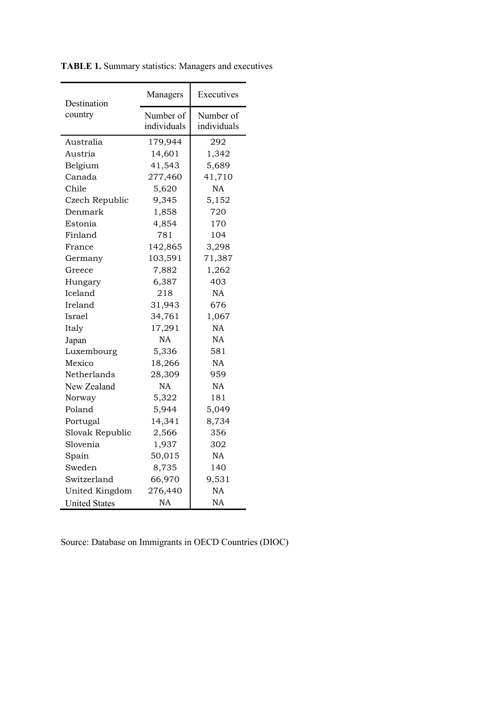| Destination          | Managers    | Executives  |  |
|----------------------|-------------|-------------|--|
| country              | Number of   | Number of   |  |
|                      | individuals | individuals |  |
| Australia            | 179,944     | 292         |  |
| Austria              | 14,601      | 1,342       |  |
| Belgium              | 41,543      | 5,689       |  |
| Canada               | 277,460     | 41,710      |  |
| Chile                | 5,620       | <b>NA</b>   |  |
| Czech Republic       | 9,345       | 5,152       |  |
| Denmark              | 1,858       | 720         |  |
| Estonia              | 4,854       | 170         |  |
| Finland              | 781         | 104         |  |
| France               | 142,865     | 3,298       |  |
| Germany              | 103,591     | 71,387      |  |
| Greece               | 7,882       | 1,262       |  |
| Hungary              | 6,387       | 403         |  |
| Iceland              | 218         | <b>NA</b>   |  |
| Ireland              | 31,943      | 676         |  |
| Israel               | 34,761      | 1,067       |  |
| Italy                | 17,291      | <b>NA</b>   |  |
| Japan                | <b>NA</b>   | <b>NA</b>   |  |
| Luxembourg           | 5,336       | 581         |  |
| Mexico               | 18,266      | <b>NA</b>   |  |
| Netherlands          | 28,309      | 959         |  |
| New Zealand          | <b>NA</b>   | <b>NA</b>   |  |
| Norway               | 5,322       | 181         |  |
| Poland               | 5,944       | 5,049       |  |
| Portugal             | 14,341      | 8,734       |  |
| Slovak Republic      | 2,566       | 356         |  |
| Slovenia             | 1,937       | 302         |  |
| Spain                | 50,015      | <b>NA</b>   |  |
| Sweden               | 8,735       | 140         |  |
| Switzerland          | 66,970      | 9,531       |  |
| United Kingdom       | 276,440     | <b>NA</b>   |  |
| <b>United States</b> | <b>NA</b>   | <b>NA</b>   |  |

**TABLE 1.** Summary statistics: Managers and executives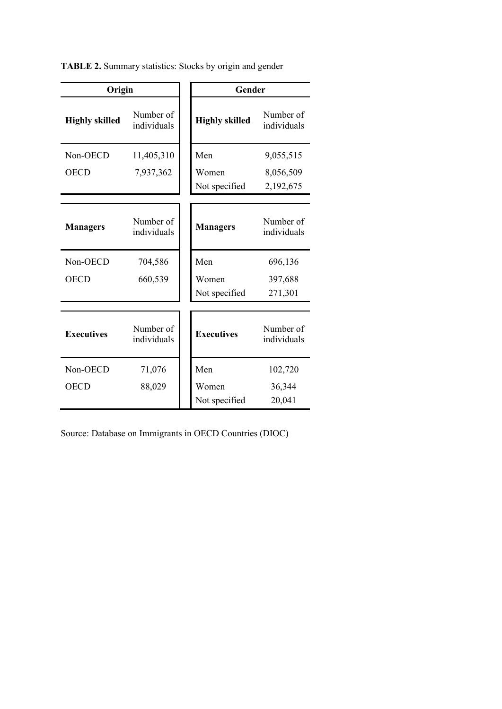| Origin                |                          | Gender                 |                          |  |
|-----------------------|--------------------------|------------------------|--------------------------|--|
| <b>Highly skilled</b> | Number of<br>individuals | <b>Highly skilled</b>  | Number of<br>individuals |  |
| Non-OECD              | 11,405,310               | Men                    | 9,055,515                |  |
| <b>OECD</b>           | 7,937,362                | Women<br>Not specified | 8,056,509<br>2,192,675   |  |
|                       |                          |                        |                          |  |
| <b>Managers</b>       | Number of<br>individuals | <b>Managers</b>        | Number of<br>individuals |  |
| Non-OECD              | 704,586                  | Men                    | 696,136                  |  |
| <b>OECD</b>           | 660,539                  | Women                  | 397,688                  |  |
|                       |                          | Not specified          | 271,301                  |  |
|                       |                          |                        |                          |  |
| <b>Executives</b>     | Number of<br>individuals | <b>Executives</b>      | Number of<br>individuals |  |
| Non-OECD              | 71,076                   | Men                    | 102,720                  |  |
| <b>OECD</b>           | 88,029                   | Women                  | 36,344                   |  |
|                       |                          | Not specified          | 20,041                   |  |

**TABLE 2.** Summary statistics: Stocks by origin and gender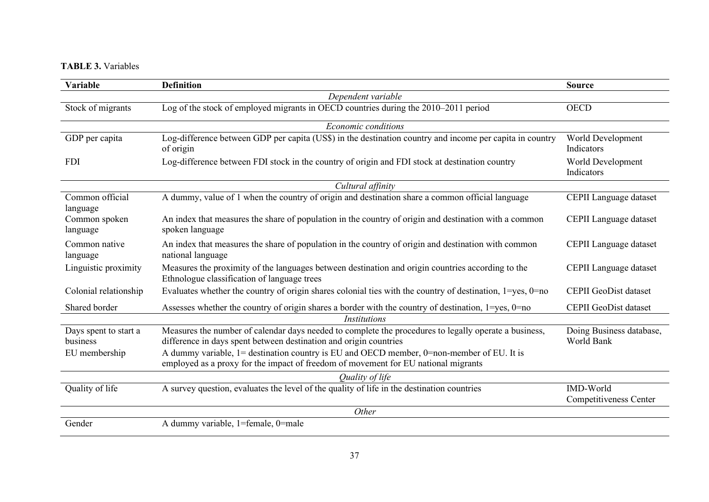# **TABLE 3.** Variables

| Variable                          | <b>Definition</b>                                                                                                                                                               | <b>Source</b>                          |  |  |  |
|-----------------------------------|---------------------------------------------------------------------------------------------------------------------------------------------------------------------------------|----------------------------------------|--|--|--|
| Dependent variable                |                                                                                                                                                                                 |                                        |  |  |  |
| Stock of migrants                 | Log of the stock of employed migrants in OECD countries during the 2010–2011 period                                                                                             | <b>OECD</b>                            |  |  |  |
|                                   | Economic conditions                                                                                                                                                             |                                        |  |  |  |
| GDP per capita                    | Log-difference between GDP per capita (US\$) in the destination country and income per capita in country<br>of origin                                                           | World Development<br>Indicators        |  |  |  |
| <b>FDI</b>                        | Log-difference between FDI stock in the country of origin and FDI stock at destination country                                                                                  | World Development<br>Indicators        |  |  |  |
|                                   | Cultural affinity                                                                                                                                                               |                                        |  |  |  |
| Common official<br>language       | A dummy, value of 1 when the country of origin and destination share a common official language                                                                                 | CEPII Language dataset                 |  |  |  |
| Common spoken<br>language         | An index that measures the share of population in the country of origin and destination with a common<br>spoken language                                                        | CEPII Language dataset                 |  |  |  |
| Common native<br>language         | An index that measures the share of population in the country of origin and destination with common<br>national language                                                        | <b>CEPII</b> Language dataset          |  |  |  |
| Linguistic proximity              | Measures the proximity of the languages between destination and origin countries according to the<br>Ethnologue classification of language trees                                | CEPII Language dataset                 |  |  |  |
| Colonial relationship             | Evaluates whether the country of origin shares colonial ties with the country of destination, $1 = yes$ , $0 = no$                                                              | <b>CEPII</b> GeoDist dataset           |  |  |  |
| Shared border                     | Assesses whether the country of origin shares a border with the country of destination, 1=yes, 0=no                                                                             | <b>CEPII</b> GeoDist dataset           |  |  |  |
|                                   | <b>Institutions</b>                                                                                                                                                             |                                        |  |  |  |
| Days spent to start a<br>business | Measures the number of calendar days needed to complete the procedures to legally operate a business,<br>difference in days spent between destination and origin countries      | Doing Business database,<br>World Bank |  |  |  |
| EU membership                     | A dummy variable, 1= destination country is EU and OECD member, 0=non-member of EU. It is<br>employed as a proxy for the impact of freedom of movement for EU national migrants |                                        |  |  |  |
| Quality of life                   |                                                                                                                                                                                 |                                        |  |  |  |
| Quality of life                   | A survey question, evaluates the level of the quality of life in the destination countries                                                                                      | <b>IMD-World</b>                       |  |  |  |
|                                   |                                                                                                                                                                                 | Competitiveness Center                 |  |  |  |
|                                   | Other                                                                                                                                                                           |                                        |  |  |  |
| Gender                            | A dummy variable, 1=female, 0=male                                                                                                                                              |                                        |  |  |  |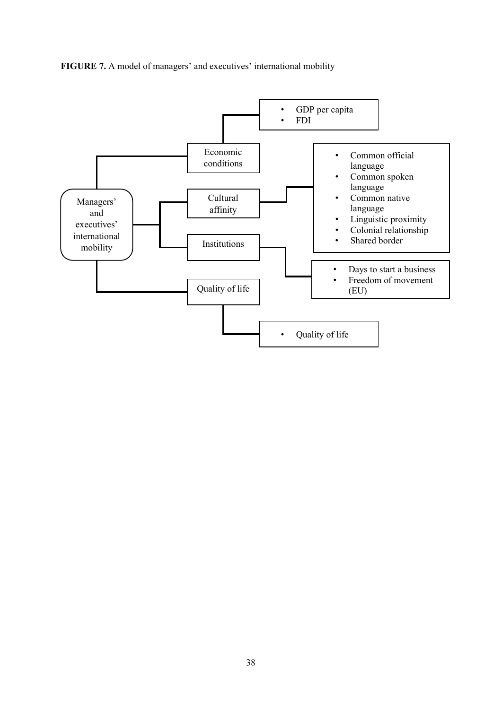**FIGURE 7.** A model of managers' and executives' international mobility

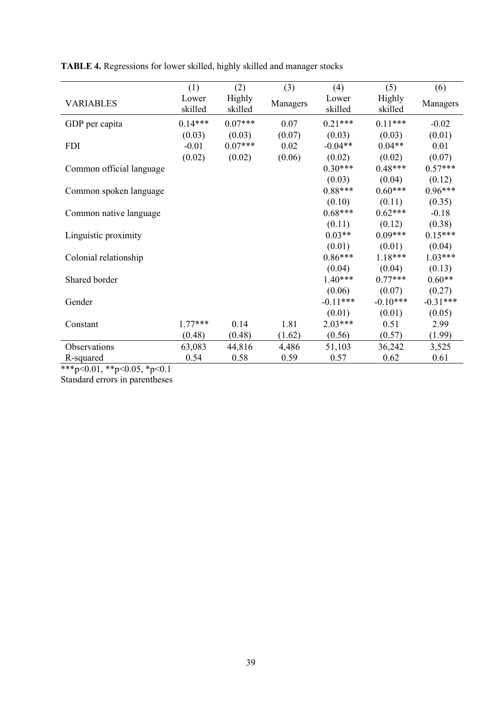|                          | (1)              | (2)               | (3)      | (4)              | (5)               | (6)        |
|--------------------------|------------------|-------------------|----------|------------------|-------------------|------------|
| <b>VARIABLES</b>         | Lower<br>skilled | Highly<br>skilled | Managers | Lower<br>skilled | Highly<br>skilled | Managers   |
| GDP per capita           | $0.14***$        | $0.07***$         | 0.07     | $0.21***$        | $0.11***$         | $-0.02$    |
|                          | (0.03)           | (0.03)            | (0.07)   | (0.03)           | (0.03)            | (0.01)     |
| <b>FDI</b>               | $-0.01$          | $0.07***$         | 0.02     | $-0.04**$        | $0.04**$          | 0.01       |
|                          | (0.02)           | (0.02)            | (0.06)   | (0.02)           | (0.02)            | (0.07)     |
| Common official language |                  |                   |          | $0.30***$        | $0.48***$         | $0.57***$  |
|                          |                  |                   |          | (0.03)           | (0.04)            | (0.12)     |
| Common spoken language   |                  |                   |          | $0.88***$        | $0.60***$         | $0.96***$  |
|                          |                  |                   |          | (0.10)           | (0.11)            | (0.35)     |
| Common native language   |                  |                   |          | $0.68***$        | $0.62***$         | $-0.18$    |
|                          |                  |                   |          | (0.11)           | (0.12)            | (0.38)     |
| Linguistic proximity     |                  |                   |          | $0.03**$         | $0.09***$         | $0.15***$  |
|                          |                  |                   |          | (0.01)           | (0.01)            | (0.04)     |
| Colonial relationship    |                  |                   |          | $0.86***$        | $1.18***$         | $1.03***$  |
|                          |                  |                   |          | (0.04)           | (0.04)            | (0.13)     |
| Shared border            |                  |                   |          | $1.40***$        | $0.77***$         | $0.60**$   |
|                          |                  |                   |          | (0.06)           | (0.07)            | (0.27)     |
| Gender                   |                  |                   |          | $-0.11***$       | $-0.10***$        | $-0.31***$ |
|                          |                  |                   |          | (0.01)           | (0.01)            | (0.05)     |
| Constant                 | $1.77***$        | 0.14              | 1.81     | $2.03***$        | 0.51              | 2.99       |
|                          | (0.48)           | (0.48)            | (1.62)   | (0.56)           | (0.57)            | (1.99)     |
| Observations             | 63,083           | 44,816            | 4,486    | 51,103           | 36,242            | 3,525      |
| R-squared                | 0.54             | 0.58              | 0.59     | 0.57             | 0.62              | 0.61       |

**TABLE 4.** Regressions for lower skilled, highly skilled and manager stocks

\*\*\*p<0.01, \*\*p<0.05, \*p<0.1

Standard errors in parentheses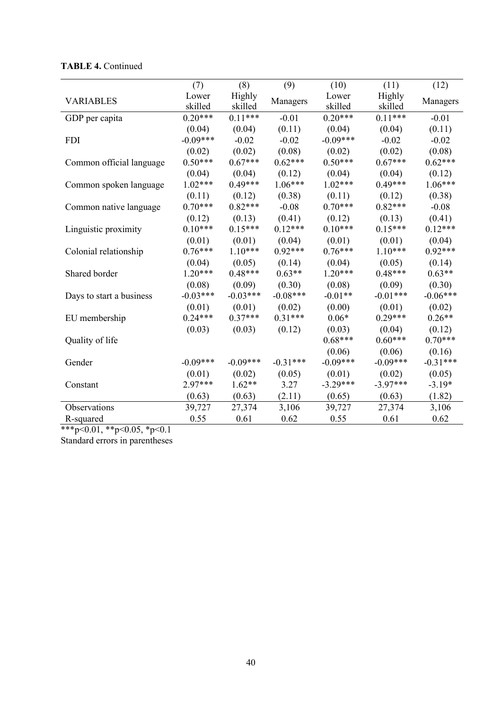|                          | (7)        | (8)        | (9)        | (10)       | (11)       | (12)       |
|--------------------------|------------|------------|------------|------------|------------|------------|
| <b>VARIABLES</b>         | Lower      | Highly     |            | Lower      | Highly     | Managers   |
|                          | skilled    | skilled    | Managers   | skilled    | skilled    |            |
| GDP per capita           | $0.20***$  | $0.11***$  | $-0.01$    | $0.20***$  | $0.11***$  | $-0.01$    |
|                          | (0.04)     | (0.04)     | (0.11)     | (0.04)     | (0.04)     | (0.11)     |
| <b>FDI</b>               | $-0.09***$ | $-0.02$    | $-0.02$    | $-0.09***$ | $-0.02$    | $-0.02$    |
|                          | (0.02)     | (0.02)     | (0.08)     | (0.02)     | (0.02)     | (0.08)     |
| Common official language | $0.50***$  | $0.67***$  | $0.62***$  | $0.50***$  | $0.67***$  | $0.62***$  |
|                          | (0.04)     | (0.04)     | (0.12)     | (0.04)     | (0.04)     | (0.12)     |
| Common spoken language   | $1.02***$  | $0.49***$  | $1.06***$  | $1.02***$  | $0.49***$  | $1.06***$  |
|                          | (0.11)     | (0.12)     | (0.38)     | (0.11)     | (0.12)     | (0.38)     |
| Common native language   | $0.70***$  | $0.82***$  | $-0.08$    | $0.70***$  | $0.82***$  | $-0.08$    |
|                          | (0.12)     | (0.13)     | (0.41)     | (0.12)     | (0.13)     | (0.41)     |
| Linguistic proximity     | $0.10***$  | $0.15***$  | $0.12***$  | $0.10***$  | $0.15***$  | $0.12***$  |
|                          | (0.01)     | (0.01)     | (0.04)     | (0.01)     | (0.01)     | (0.04)     |
| Colonial relationship    | $0.76***$  | $1.10***$  | $0.92***$  | $0.76***$  | $1.10***$  | $0.92***$  |
|                          | (0.04)     | (0.05)     | (0.14)     | (0.04)     | (0.05)     | (0.14)     |
| Shared border            | $1.20***$  | $0.48***$  | $0.63**$   | $1.20***$  | $0.48***$  | $0.63**$   |
|                          | (0.08)     | (0.09)     | (0.30)     | (0.08)     | (0.09)     | (0.30)     |
| Days to start a business | $-0.03***$ | $-0.03***$ | $-0.08***$ | $-0.01**$  | $-0.01***$ | $-0.06***$ |
|                          | (0.01)     | (0.01)     | (0.02)     | (0.00)     | (0.01)     | (0.02)     |
| EU membership            | $0.24***$  | $0.37***$  | $0.31***$  | $0.06*$    | $0.29***$  | $0.26**$   |
|                          | (0.03)     | (0.03)     | (0.12)     | (0.03)     | (0.04)     | (0.12)     |
| Quality of life          |            |            |            | $0.68***$  | $0.60***$  | $0.70***$  |
|                          |            |            |            | (0.06)     | (0.06)     | (0.16)     |
| Gender                   | $-0.09***$ | $-0.09***$ | $-0.31***$ | $-0.09***$ | $-0.09***$ | $-0.31***$ |
|                          | (0.01)     | (0.02)     | (0.05)     | (0.01)     | (0.02)     | (0.05)     |
| Constant                 | $2.97***$  | $1.62**$   | 3.27       | $-3.29***$ | $-3.97***$ | $-3.19*$   |
|                          | (0.63)     | (0.63)     | (2.11)     | (0.65)     | (0.63)     | (1.82)     |
| Observations             | 39,727     | 27,374     | 3,106      | 39,727     | 27,374     | 3,106      |
| R-squared                | 0.55       | 0.61       | 0.62       | 0.55       | 0.61       | 0.62       |

# **TABLE 4.** Continued

\*\*\*p<0.01, \*\*p<0.05, \*p<0.1

Standard errors in parentheses